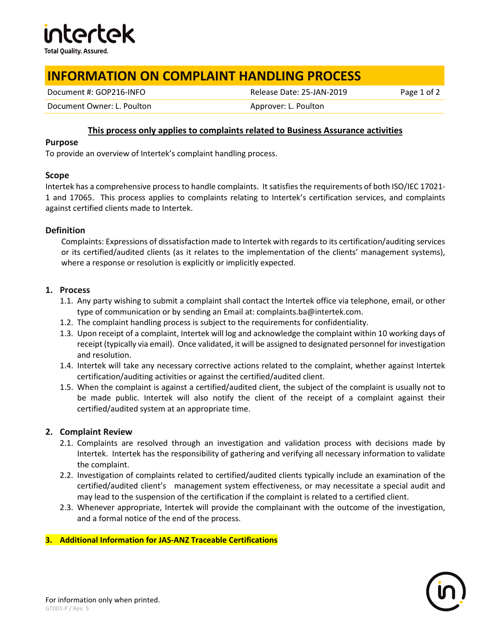

# **INFORMATION ON COMPLAINT HANDLING PROCESS**

Document #: GOP216-INFO **Release Date: 25-JAN-2019** Page 1 of 2

Document Owner: L. Poulton and Approver: L. Poulton Approver: L. Poulton

# **This process only applies to complaints related to Business Assurance activities**

#### **Purpose**

To provide an overview of Intertek's complaint handling process.

### **Scope**

Intertek has a comprehensive process to handle complaints. It satisfies the requirements of both ISO/IEC 17021- 1 and 17065. This process applies to complaints relating to Intertek's certification services, and complaints against certified clients made to Intertek.

### **Definition**

Complaints: Expressions of dissatisfaction made to Intertek with regards to its certification/auditing services or its certified/audited clients (as it relates to the implementation of the clients' management systems), where a response or resolution is explicitly or implicitly expected.

# **1. Process**

- 1.1. Any party wishing to submit a complaint shall contact the Intertek office via telephone, email, or other type of communication or by sending an Email at: complaints.ba@intertek.com.
- 1.2. The complaint handling process is subject to the requirements for confidentiality.
- 1.3. Upon receipt of a complaint, Intertek will log and acknowledge the complaint within 10 working days of receipt (typically via email). Once validated, it will be assigned to designated personnel for investigation and resolution.
- 1.4. Intertek will take any necessary corrective actions related to the complaint, whether against Intertek certification/auditing activities or against the certified/audited client.
- 1.5. When the complaint is against a certified/audited client, the subject of the complaint is usually not to be made public. Intertek will also notify the client of the receipt of a complaint against their certified/audited system at an appropriate time.

# **2. Complaint Review**

- 2.1. Complaints are resolved through an investigation and validation process with decisions made by Intertek. Intertek has the responsibility of gathering and verifying all necessary information to validate the complaint.
- 2.2. Investigation of complaints related to certified/audited clients typically include an examination of the certified/audited client's management system effectiveness, or may necessitate a special audit and may lead to the suspension of the certification if the complaint is related to a certified client.
- 2.3. Whenever appropriate, Intertek will provide the complainant with the outcome of the investigation, and a formal notice of the end of the process.

### **3. Additional Information for JAS-ANZ Traceable Certifications**